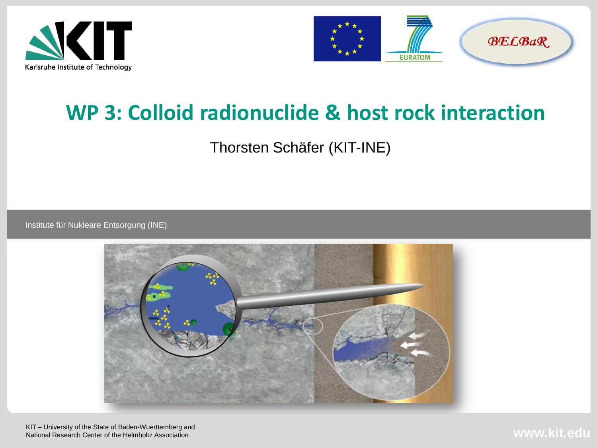



# **WP 3: Colloid radionuclide & host rock interaction**

Thorsten Schäfer (KIT-INE)

Institute für Nukleare Entsorgung (INE)



KIT – University of the State of Baden-Wuerttemberg and National Research Center of the Helmholtz Association

**www.kit.edu**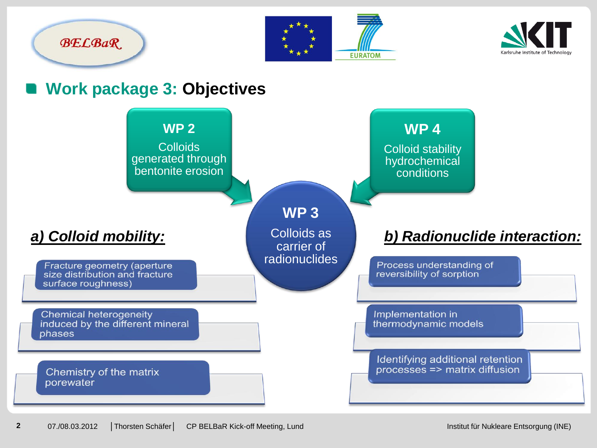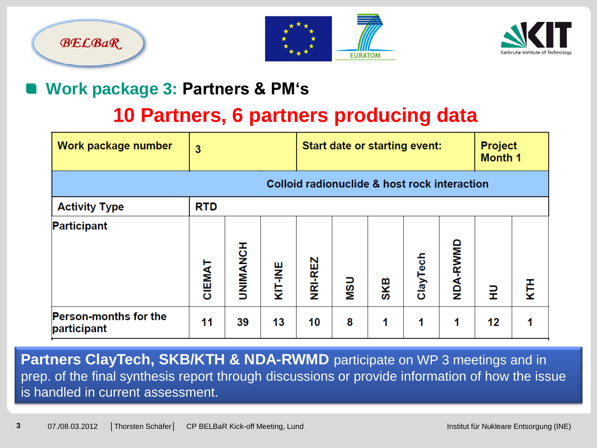





#### **Work package 3: Partners & PM's**

## **10 Partners, 6 partners producing data**

| Work package number                         | 3                                            |                 | <b>Start date or starting event:</b> |         |            |     | <b>Project</b><br><b>Month 1</b> |          |    |   |
|---------------------------------------------|----------------------------------------------|-----------------|--------------------------------------|---------|------------|-----|----------------------------------|----------|----|---|
|                                             | Colloid radionuclide & host rock interaction |                 |                                      |         |            |     |                                  |          |    |   |
| <b>Activity Type</b>                        | <b>RTD</b>                                   |                 |                                      |         |            |     |                                  |          |    |   |
| <b>Participant</b>                          | CIEMAT                                       | <b>TRIMANCH</b> | KIT-INE                              | NRI-REZ | <b>USN</b> | SKB | ClayTech                         | NDA-RWMD | 긒  | Ě |
| <b>Person-months for the</b><br>participant | 11                                           | 39              | 13                                   | 10      | 8          | 1   | 1                                | 1        | 12 |   |

**Partners ClayTech, SKB/KTH & NDA-RWMD** participate on WP 3 meetings and in prep. of the final synthesis report through discussions or provide information of how the issue is handled in current assessment.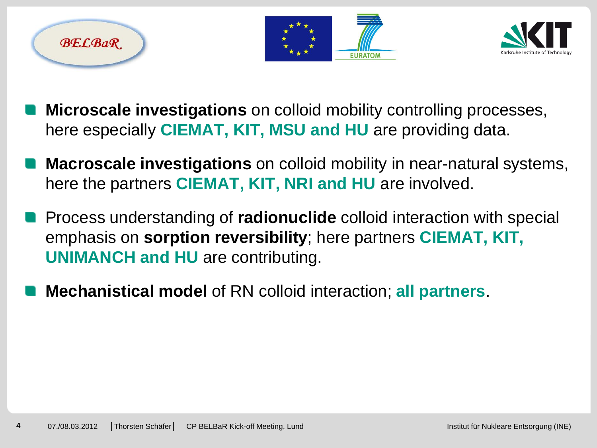





- **Microscale investigations** on colloid mobility controlling processes, here especially **CIEMAT, KIT, MSU and HU** are providing data.
- **Macroscale investigations** on colloid mobility in near-natural systems, here the partners **CIEMAT, KIT, NRI and HU** are involved.
- Process understanding of **radionuclide** colloid interaction with special emphasis on **sorption reversibility**; here partners **CIEMAT, KIT, UNIMANCH and HU** are contributing.
- **Mechanistical model** of RN colloid interaction; **all partners**.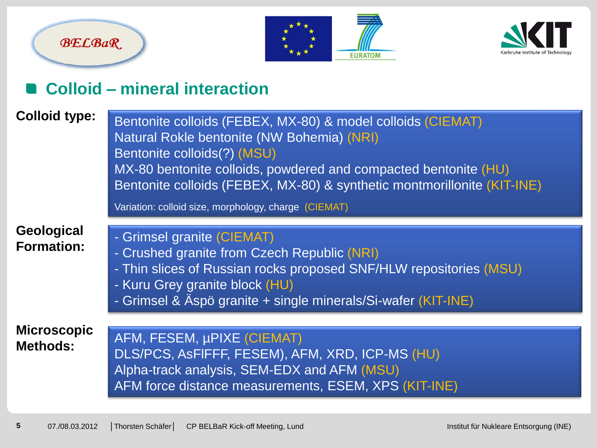





#### **Colloid – mineral interaction**

| <b>Colloid type:</b>                  | Bentonite colloids (FEBEX, MX-80) & model colloids (CIEMAT)<br>Natural Rokle bentonite (NW Bohemia) (NRI)<br>Bentonite colloids(?) (MSU)<br>MX-80 bentonite colloids, powdered and compacted bentonite (HU)<br>Bentonite colloids (FEBEX, MX-80) & synthetic montmorillonite (KIT-INE)<br>Variation: colloid size, morphology, charge (CIEMAT) |
|---------------------------------------|------------------------------------------------------------------------------------------------------------------------------------------------------------------------------------------------------------------------------------------------------------------------------------------------------------------------------------------------|
| Geological<br><b>Formation:</b>       | - Grimsel granite (CIEMAT)<br>- Crushed granite from Czech Republic (NRI)<br>- Thin slices of Russian rocks proposed SNF/HLW repositories (MSU)<br>- Kuru Grey granite block (HU)<br>- Grimsel & Äspö granite + single minerals/Si-wafer (KIT-INE)                                                                                             |
| <b>Microscopic</b><br><b>Methods:</b> | <b>AFM, FESEM, µPIXE (CIEMAT)</b><br>DLS/PCS, ASFIFFF, FESEM), AFM, XRD, ICP-MS (HU)<br>Alpha-track analysis, SEM-EDX and AFM (MSU)<br>AFM force distance measurements, ESEM, XPS (KIT-INE)                                                                                                                                                    |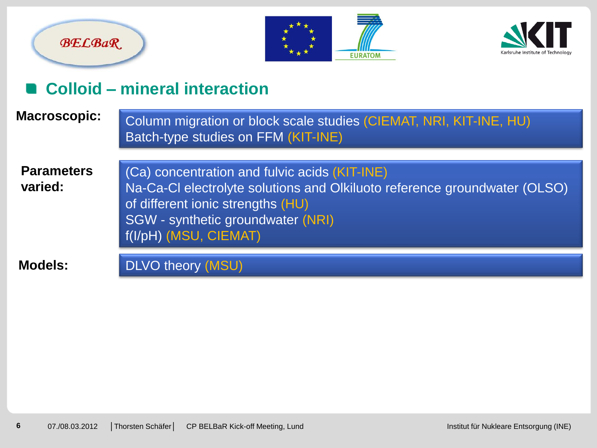





#### **Colloid – mineral interaction**

| <b>Macroscopic:</b>          | Column migration or block scale studies (CIEMAT, NRI, KIT-INE, HU)<br>Batch-type studies on FFM (KIT-INE)                                                                                                                     |
|------------------------------|-------------------------------------------------------------------------------------------------------------------------------------------------------------------------------------------------------------------------------|
| <b>Parameters</b><br>varied: | (Ca) concentration and fulvic acids (KIT-INE)<br>Na-Ca-Cl electrolyte solutions and Olkiluoto reference groundwater (OLSO)<br>of different ionic strengths (HU)<br>SGW - synthetic groundwater (NRI)<br>f(I/pH) (MSU, CIEMAT) |
| <b>Models:</b>               | DLVO theory (MSU)                                                                                                                                                                                                             |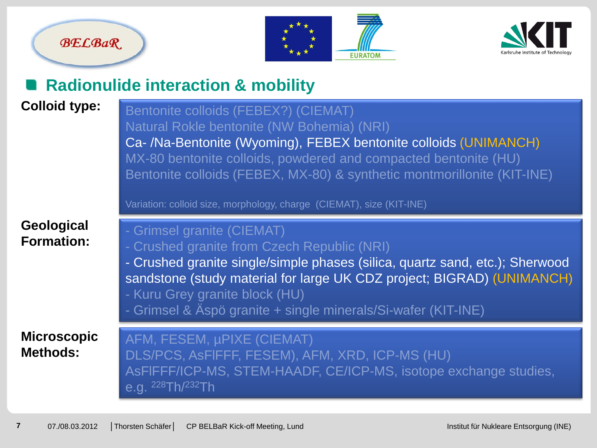





#### **Radionulide interaction & mobility**

#### **Colloid type:**

Bentonite colloids (FEBEX?) (CIEMAT) Natural Rokle bentonite (NW Bohemia) (NRI) Ca- /Na-Bentonite (Wyoming), FEBEX bentonite colloids (UNIMANCH) MX-80 bentonite colloids, powdered and compacted bentonite (HU) Bentonite colloids (FEBEX, MX-80) & synthetic montmorillonite (KIT-INE)

Variation: colloid size, morphology, charge (CIEMAT), size (KIT-INE)

#### **Geological Formation:**

| <b>Geological</b><br><b>Formation:</b> | - Grimsel granite (CIEMAT)<br>- Crushed granite from Czech Republic (NRI)<br>- Crushed granite single/simple phases (silica, quartz sand, etc.); Sherwood<br>sandstone (study material for large UK CDZ project; BIGRAD) (UNIMANCH)<br>- Kuru Grey granite block (HU)<br>- Grimsel & Äspö granite + single minerals/Si-wafer (KIT-INE) |
|----------------------------------------|----------------------------------------------------------------------------------------------------------------------------------------------------------------------------------------------------------------------------------------------------------------------------------------------------------------------------------------|
| <b>Microscopic</b><br><b>Methods:</b>  | AFM, FESEM, µPIXE (CIEMAT)<br>DLS/PCS, AsFIFFF, FESEM), AFM, XRD, ICP-MS (HU)<br>ASFIFFF/ICP-MS, STEM-HAADF, CE/ICP-MS, isotope exchange studies,                                                                                                                                                                                      |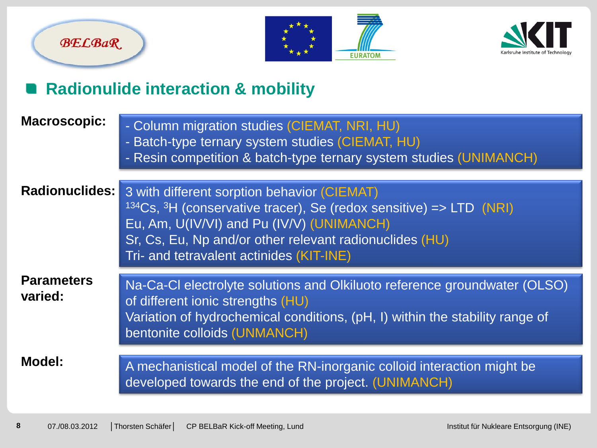





### **Radionulide interaction & mobility**

| <b>Macroscopic:</b>          | - Column migration studies (CIEMAT, NRI, HU)<br>- Batch-type ternary system studies (CIEMAT, HU)<br>- Resin competition & batch-type ternary system studies (UNIMANCH)                                                                                                                        |
|------------------------------|-----------------------------------------------------------------------------------------------------------------------------------------------------------------------------------------------------------------------------------------------------------------------------------------------|
| <b>Radionuclides:</b>        | 3 with different sorption behavior (CIEMAT)<br><sup>134</sup> Cs, <sup>3</sup> H (conservative tracer), Se (redox sensitive) => LTD (NRI)<br>Eu, Am, U(IV/VI) and Pu (IV/V) (UNIMANCH)<br>Sr, Cs, Eu, Np and/or other relevant radionuclides (HU)<br>Tri- and tetravalent actinides (KIT-INE) |
| <b>Parameters</b><br>varied: | Na-Ca-Cl electrolyte solutions and Olkiluoto reference groundwater (OLSO)<br>of different ionic strengths (HU)<br>Variation of hydrochemical conditions, (pH, I) within the stability range of<br>bentonite colloids (UNMANCH)                                                                |
| <b>Model:</b>                | A mechanistical model of the RN-inorganic colloid interaction might be<br>developed towards the end of the project. (UNIMANCH)                                                                                                                                                                |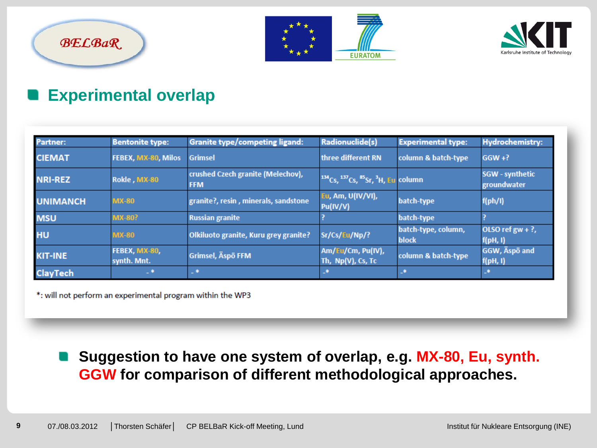





#### **Experimental overlap**

| Partner:        | <b>Bentonite type:</b>       | Granite type/competing ligand:                  | Radionuclide(s)                           | <b>Experimental type:</b>           | <b>Hydrochemistry:</b>                |
|-----------------|------------------------------|-------------------------------------------------|-------------------------------------------|-------------------------------------|---------------------------------------|
| <b>CIEMAT</b>   | FEBEX, MX-80, Milos          | Grimsel                                         | three different RN                        | column & batch-type                 | $GGW + ?$                             |
| <b>NRI-REZ</b>  | Rokle, MX-80                 | crushed Czech granite (Melechov),<br><b>FFM</b> | $134Cs,$ $137Cs,$ $85Sr,$ $3H,$ Eu column |                                     | <b>SGW</b> - synthetic<br>groundwater |
| <b>UNIMANCH</b> | <b>MX-80</b>                 | granite?, resin, minerals, sandstone            | Eu, Am, U(IV/VI),<br>Pu(IV/V)             | batch-type                          | f(ph/l)                               |
| <b>MSU</b>      | <b>MX-80?</b>                | <b>Russian granite</b>                          |                                           | batch-type                          |                                       |
| HU              | <b>MX-80</b>                 | Olkiluoto granite, Kuru grey granite?           | Sr/Cs/Eu/Np/?                             | batch-type, column,<br><b>block</b> | OLSO ref $gw + ?$ ,<br>f(pH, I)       |
| <b>KIT-INE</b>  | FEBEX, MX-80,<br>synth. Mnt. | Grimsel, Äspö FFM                               | Am/Eu/Cm, Pu(IV),<br>Th, Np(V), Cs, Tc    | column & batch-type                 | GGW, Äspö and<br>f(pH, I)             |
| <b>ClayTech</b> | $\rightarrow$                | 上来                                              | LB.                                       | L®.                                 | 山東                                    |

\*: will not perform an experimental program within the WP3

#### **Suggestion to have one system of overlap, e.g. MX-80, Eu, synth. GGW for comparison of different methodological approaches.**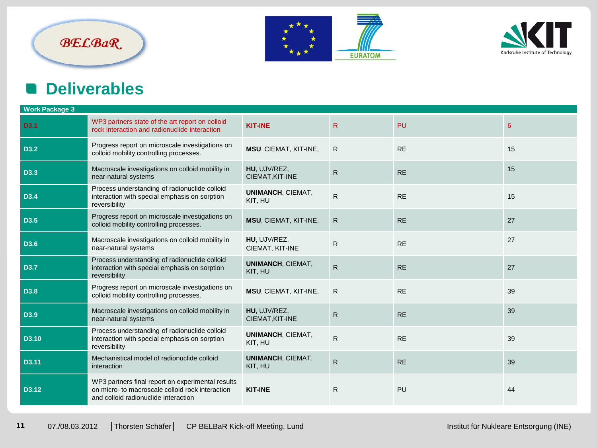#### **BELBaR**





#### **Deliverables** n

| <b>Work Package 3</b>                                                                                                                         |                                     |              |           |    |  |  |  |
|-----------------------------------------------------------------------------------------------------------------------------------------------|-------------------------------------|--------------|-----------|----|--|--|--|
| WP3 partners state of the art report on colloid<br>rock interaction and radionuclide interaction                                              | <b>KIT-INE</b>                      | $\mathsf{R}$ | <b>PU</b> | 6  |  |  |  |
| Progress report on microscale investigations on<br>colloid mobility controlling processes.                                                    | MSU, CIEMAT, KIT-INE,               | R            | <b>RE</b> | 15 |  |  |  |
| Macroscale investigations on colloid mobility in<br>near-natural systems                                                                      | HU, UJV/REZ,<br>CIEMAT, KIT-INE     | $\mathsf{R}$ | <b>RE</b> | 15 |  |  |  |
| Process understanding of radionuclide colloid<br>interaction with special emphasis on sorption<br>reversibility                               | <b>UNIMANCH, CIEMAT,</b><br>KIT, HU | $\mathsf{R}$ | <b>RE</b> | 15 |  |  |  |
| Progress report on microscale investigations on<br>colloid mobility controlling processes.                                                    | MSU, CIEMAT, KIT-INE,               | $\mathsf{R}$ | <b>RE</b> | 27 |  |  |  |
| Macroscale investigations on colloid mobility in<br>near-natural systems                                                                      | HU, UJV/REZ,<br>CIEMAT, KIT-INE     | R            | <b>RE</b> | 27 |  |  |  |
| Process understanding of radionuclide colloid<br>interaction with special emphasis on sorption<br>reversibility                               | <b>UNIMANCH, CIEMAT,</b><br>KIT, HU | ${\sf R}$    | <b>RE</b> | 27 |  |  |  |
| Progress report on microscale investigations on<br>colloid mobility controlling processes.                                                    | MSU, CIEMAT, KIT-INE,               | R            | <b>RE</b> | 39 |  |  |  |
| Macroscale investigations on colloid mobility in<br>near-natural systems                                                                      | HU, UJV/REZ,<br>CIEMAT, KIT-INE     | $\mathsf{R}$ | <b>RE</b> | 39 |  |  |  |
| Process understanding of radionuclide colloid<br>interaction with special emphasis on sorption<br>reversibility                               | <b>UNIMANCH, CIEMAT,</b><br>KIT, HU | $\mathsf{R}$ | <b>RE</b> | 39 |  |  |  |
| Mechanistical model of radionuclide colloid<br>interaction                                                                                    | <b>UNIMANCH, CIEMAT,</b><br>KIT, HU | $\mathsf{R}$ | <b>RE</b> | 39 |  |  |  |
| WP3 partners final report on experimental results<br>on micro- to macroscale colloid rock interaction<br>and colloid radionuclide interaction | <b>KIT-INE</b>                      | $\mathsf{R}$ | PU        | 44 |  |  |  |
|                                                                                                                                               |                                     |              |           |    |  |  |  |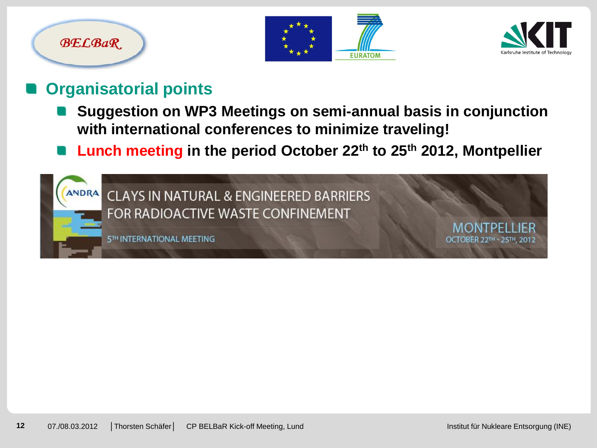# **BELBaR**





#### **Organisatorial points**

- **Suggestion on WP3 Meetings on semi-annual basis in conjunction with international conferences to minimize traveling!**
- **Lunch meeting in the period October 22th to 25th 2012, Montpellier**